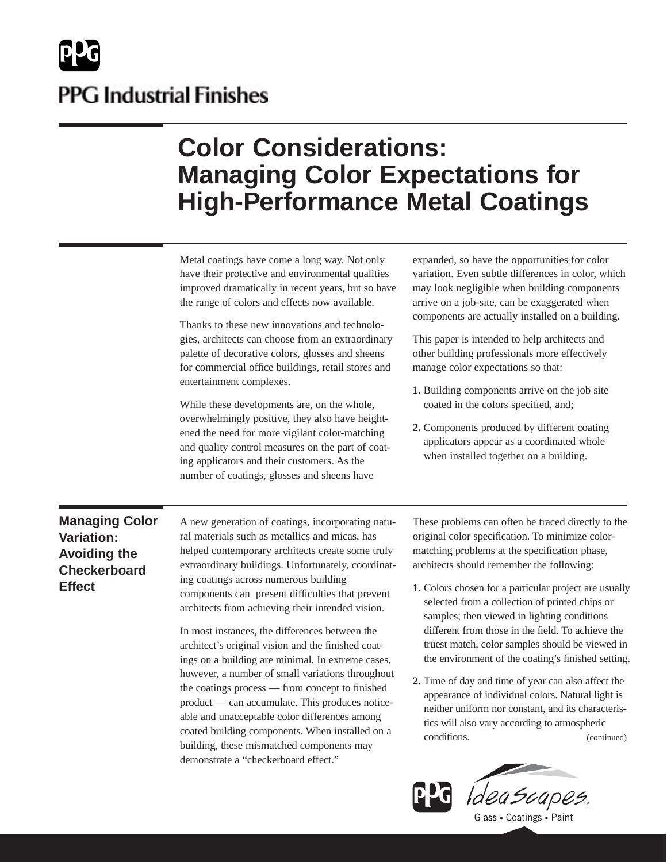## **PPG Industrial Finishes**

## **Color Considerations: Managing Color Expectations for High-Performance Metal Coatings**

Metal coatings have come a long way. Not only have their protective and environmental qualities improved dramatically in recent years, but so have the range of colors and effects now available.

Thanks to these new innovations and technologies, architects can choose from an extraordinary palette of decorative colors, glosses and sheens for commercial office buildings, retail stores and entertainment complexes.

While these developments are, on the whole, overwhelmingly positive, they also have heightened the need for more vigilant color-matching and quality control measures on the part of coating applicators and their customers. As the number of coatings, glosses and sheens have

expanded, so have the opportunities for color variation. Even subtle differences in color, which may look negligible when building components arrive on a job-site, can be exaggerated when components are actually installed on a building.

This paper is intended to help architects and other building professionals more effectively manage color expectations so that:

- **1.** Building components arrive on the job site coated in the colors specified, and;
- **2.** Components produced by different coating applicators appear as a coordinated whole when installed together on a building.

### **Managing Color Variation: Avoiding the Checkerboard Effect**

A new generation of coatings, incorporating natural materials such as metallics and micas, has helped contemporary architects create some truly extraordinary buildings. Unfortunately, coordinating coatings across numerous building components can present difficulties that prevent architects from achieving their intended vision.

In most instances, the differences between the architect's original vision and the finished coatings on a building are minimal. In extreme cases, however, a number of small variations throughout the coatings process — from concept to finished product — can accumulate. This produces noticeable and unacceptable color differences among coated building components. When installed on a building, these mismatched components may demonstrate a "checkerboard effect."

These problems can often be traced directly to the original color specification. To minimize colormatching problems at the specification phase, architects should remember the following:

- **1.** Colors chosen for a particular project are usually selected from a collection of printed chips or samples; then viewed in lighting conditions different from those in the field. To achieve the truest match, color samples should be viewed in the environment of the coating's finished setting.
- **2.** Time of day and time of year can also affect the appearance of individual colors. Natural light is neither uniform nor constant, and its characteristics will also vary according to atmospheric conditions. (continued)





Glass · Coatings · Paint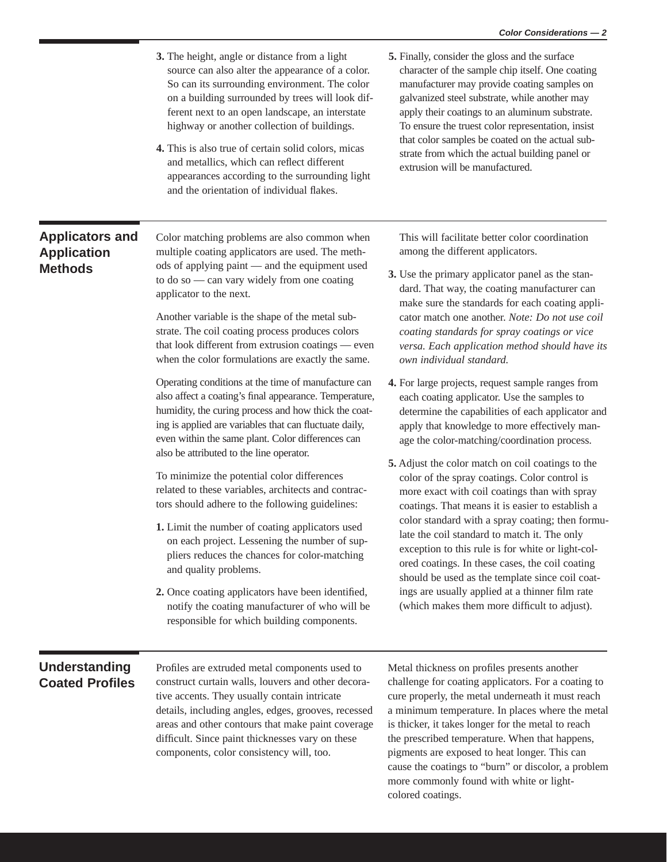more commonly found with white or light-

colored coatings.

|                                                                | 3. The height, angle or distance from a light<br>source can also alter the appearance of a color.<br>So can its surrounding environment. The color<br>on a building surrounded by trees will look dif-<br>ferent next to an open landscape, an interstate<br>highway or another collection of buildings.<br>4. This is also true of certain solid colors, micas<br>and metallics, which can reflect different<br>appearances according to the surrounding light<br>and the orientation of individual flakes.                                                                                                                                                                                                                                                                                                                 | 5. Finally, consider the gloss and the surface<br>character of the sample chip itself. One coating<br>manufacturer may provide coating samples on<br>galvanized steel substrate, while another may<br>apply their coatings to an aluminum substrate.<br>To ensure the truest color representation, insist<br>that color samples be coated on the actual sub-<br>strate from which the actual building panel or<br>extrusion will be manufactured.                                                                                                                                                                                                                                                                                                                                                                                   |
|----------------------------------------------------------------|------------------------------------------------------------------------------------------------------------------------------------------------------------------------------------------------------------------------------------------------------------------------------------------------------------------------------------------------------------------------------------------------------------------------------------------------------------------------------------------------------------------------------------------------------------------------------------------------------------------------------------------------------------------------------------------------------------------------------------------------------------------------------------------------------------------------------|-------------------------------------------------------------------------------------------------------------------------------------------------------------------------------------------------------------------------------------------------------------------------------------------------------------------------------------------------------------------------------------------------------------------------------------------------------------------------------------------------------------------------------------------------------------------------------------------------------------------------------------------------------------------------------------------------------------------------------------------------------------------------------------------------------------------------------------|
| <b>Applicators and</b><br><b>Application</b><br><b>Methods</b> | Color matching problems are also common when<br>multiple coating applicators are used. The meth-<br>ods of applying paint — and the equipment used<br>to do so - can vary widely from one coating<br>applicator to the next.<br>Another variable is the shape of the metal sub-<br>strate. The coil coating process produces colors<br>that look different from extrusion coatings — even<br>when the color formulations are exactly the same.                                                                                                                                                                                                                                                                                                                                                                               | This will facilitate better color coordination<br>among the different applicators.<br>3. Use the primary applicator panel as the stan-<br>dard. That way, the coating manufacturer can<br>make sure the standards for each coating appli-<br>cator match one another. Note: Do not use coil<br>coating standards for spray coatings or vice<br>versa. Each application method should have its<br>own individual standard.                                                                                                                                                                                                                                                                                                                                                                                                           |
|                                                                | Operating conditions at the time of manufacture can<br>also affect a coating's final appearance. Temperature,<br>humidity, the curing process and how thick the coat-<br>ing is applied are variables that can fluctuate daily,<br>even within the same plant. Color differences can<br>also be attributed to the line operator.<br>To minimize the potential color differences<br>related to these variables, architects and contrac-<br>tors should adhere to the following guidelines:<br>1. Limit the number of coating applicators used<br>on each project. Lessening the number of sup-<br>pliers reduces the chances for color-matching<br>and quality problems.<br>2. Once coating applicators have been identified,<br>notify the coating manufacturer of who will be<br>responsible for which building components. | 4. For large projects, request sample ranges from<br>each coating applicator. Use the samples to<br>determine the capabilities of each applicator and<br>apply that knowledge to more effectively man-<br>age the color-matching/coordination process.<br>5. Adjust the color match on coil coatings to the<br>color of the spray coatings. Color control is<br>more exact with coil coatings than with spray<br>coatings. That means it is easier to establish a<br>color standard with a spray coating; then formu-<br>late the coil standard to match it. The only<br>exception to this rule is for white or light-col-<br>ored coatings. In these cases, the coil coating<br>should be used as the template since coil coat-<br>ings are usually applied at a thinner film rate<br>(which makes them more difficult to adjust). |
| <b>Understanding</b><br><b>Coated Profiles</b>                 | Profiles are extruded metal components used to<br>construct curtain walls, louvers and other decora-<br>tive accents. They usually contain intricate<br>details, including angles, edges, grooves, recessed<br>areas and other contours that make paint coverage<br>difficult. Since paint thicknesses vary on these<br>components, color consistency will, too.                                                                                                                                                                                                                                                                                                                                                                                                                                                             | Metal thickness on profiles presents another<br>challenge for coating applicators. For a coating to<br>cure properly, the metal underneath it must reach<br>a minimum temperature. In places where the metal<br>is thicker, it takes longer for the metal to reach<br>the prescribed temperature. When that happens,<br>pigments are exposed to heat longer. This can<br>cause the coatings to "burn" or discolor, a problem                                                                                                                                                                                                                                                                                                                                                                                                        |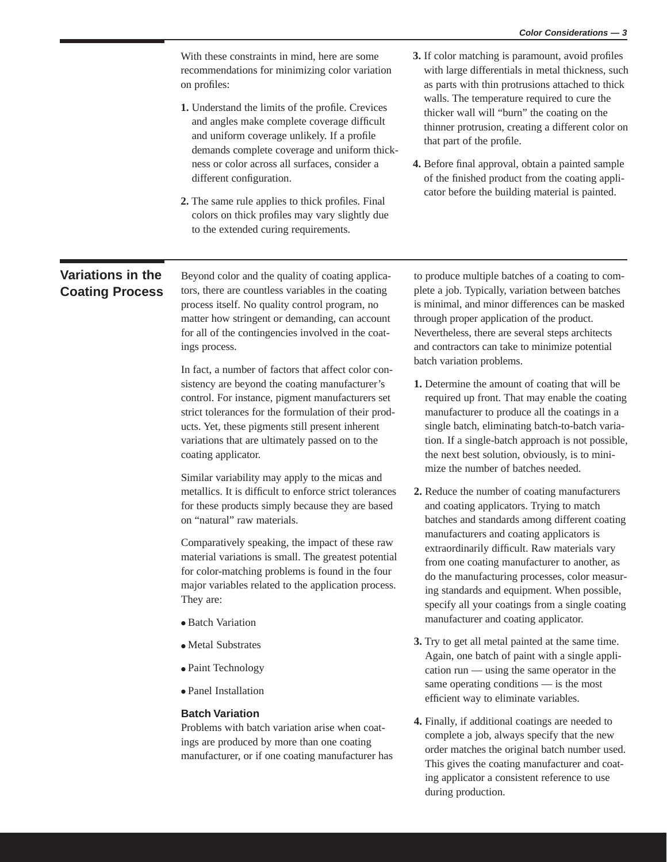With these constraints in mind, here are some recommendations for minimizing color variation on profiles:

- **1.** Understand the limits of the profile. Crevices and angles make complete coverage difficult and uniform coverage unlikely. If a profile demands complete coverage and uniform thickness or color across all surfaces, consider a different configuration.
- **2.** The same rule applies to thick profiles. Final colors on thick profiles may vary slightly due to the extended curing requirements.
- **3.** If color matching is paramount, avoid profiles with large differentials in metal thickness, such as parts with thin protrusions attached to thick walls. The temperature required to cure the thicker wall will "burn" the coating on the thinner protrusion, creating a different color on that part of the profile.
- **4.** Before final approval, obtain a painted sample of the finished product from the coating applicator before the building material is painted.

### **Variations in the Coating Process**

Beyond color and the quality of coating applicators, there are countless variables in the coating process itself. No quality control program, no matter how stringent or demanding, can account for all of the contingencies involved in the coatings process.

In fact, a number of factors that affect color consistency are beyond the coating manufacturer's control. For instance, pigment manufacturers set strict tolerances for the formulation of their products. Yet, these pigments still present inherent variations that are ultimately passed on to the coating applicator.

Similar variability may apply to the micas and metallics. It is difficult to enforce strict tolerances for these products simply because they are based on "natural" raw materials.

Comparatively speaking, the impact of these raw material variations is small. The greatest potential for color-matching problems is found in the four major variables related to the application process. They are:

- Batch Variation
- Metal Substrates
- Paint Technology
- Panel Installation

#### **Batch Variation**

Problems with batch variation arise when coatings are produced by more than one coating manufacturer, or if one coating manufacturer has to produce multiple batches of a coating to complete a job. Typically, variation between batches is minimal, and minor differences can be masked through proper application of the product. Nevertheless, there are several steps architects and contractors can take to minimize potential batch variation problems.

- **1.** Determine the amount of coating that will be required up front. That may enable the coating manufacturer to produce all the coatings in a single batch, eliminating batch-to-batch variation. If a single-batch approach is not possible, the next best solution, obviously, is to minimize the number of batches needed.
- **2.** Reduce the number of coating manufacturers and coating applicators. Trying to match batches and standards among different coating manufacturers and coating applicators is extraordinarily difficult. Raw materials vary from one coating manufacturer to another, as do the manufacturing processes, color measuring standards and equipment. When possible, specify all your coatings from a single coating manufacturer and coating applicator.
- **3.** Try to get all metal painted at the same time. Again, one batch of paint with a single application run — using the same operator in the same operating conditions — is the most efficient way to eliminate variables.
- **4.** Finally, if additional coatings are needed to complete a job, always specify that the new order matches the original batch number used. This gives the coating manufacturer and coating applicator a consistent reference to use during production.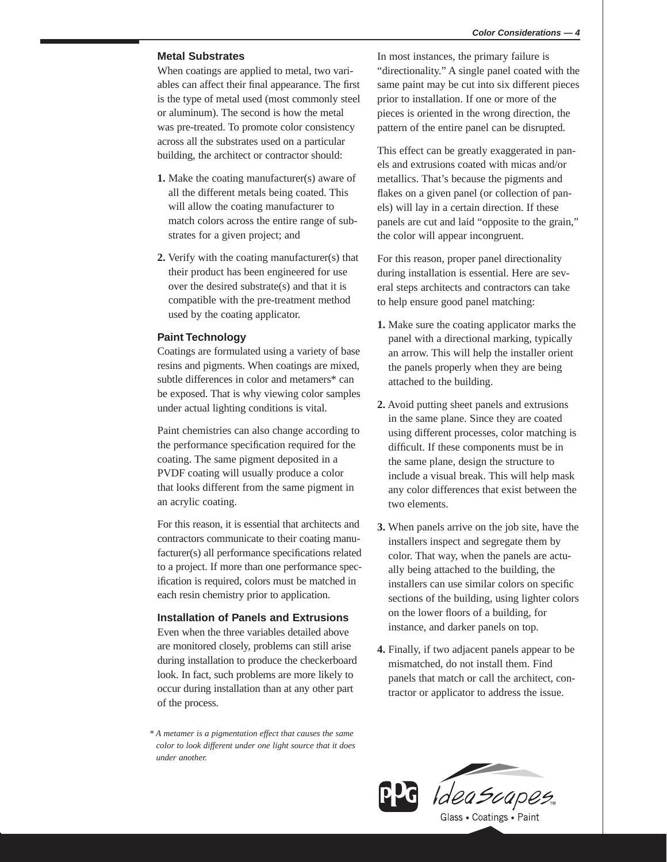#### **Metal Substrates**

When coatings are applied to metal, two variables can affect their final appearance. The first is the type of metal used (most commonly steel or aluminum). The second is how the metal was pre-treated. To promote color consistency across all the substrates used on a particular building, the architect or contractor should:

- **1.** Make the coating manufacturer(s) aware of all the different metals being coated. This will allow the coating manufacturer to match colors across the entire range of substrates for a given project; and
- **2.** Verify with the coating manufacturer(s) that their product has been engineered for use over the desired substrate(s) and that it is compatible with the pre-treatment method used by the coating applicator.

#### **Paint Technology**

Coatings are formulated using a variety of base resins and pigments. When coatings are mixed, subtle differences in color and metamers\* can be exposed. That is why viewing color samples under actual lighting conditions is vital.

Paint chemistries can also change according to the performance specification required for the coating. The same pigment deposited in a PVDF coating will usually produce a color that looks different from the same pigment in an acrylic coating.

For this reason, it is essential that architects and contractors communicate to their coating manufacturer(s) all performance specifications related to a project. If more than one performance specification is required, colors must be matched in each resin chemistry prior to application.

#### **Installation of Panels and Extrusions**

Even when the three variables detailed above are monitored closely, problems can still arise during installation to produce the checkerboard look. In fact, such problems are more likely to occur during installation than at any other part of the process.

In most instances, the primary failure is "directionality." A single panel coated with the same paint may be cut into six different pieces prior to installation. If one or more of the pieces is oriented in the wrong direction, the pattern of the entire panel can be disrupted.

This effect can be greatly exaggerated in panels and extrusions coated with micas and/or metallics. That's because the pigments and flakes on a given panel (or collection of panels) will lay in a certain direction. If these panels are cut and laid "opposite to the grain," the color will appear incongruent.

For this reason, proper panel directionality during installation is essential. Here are several steps architects and contractors can take to help ensure good panel matching:

- **1.** Make sure the coating applicator marks the panel with a directional marking, typically an arrow. This will help the installer orient the panels properly when they are being attached to the building.
- **2.** Avoid putting sheet panels and extrusions in the same plane. Since they are coated using different processes, color matching is difficult. If these components must be in the same plane, design the structure to include a visual break. This will help mask any color differences that exist between the two elements.
- **3.** When panels arrive on the job site, have the installers inspect and segregate them by color. That way, when the panels are actually being attached to the building, the installers can use similar colors on specific sections of the building, using lighter colors on the lower floors of a building, for instance, and darker panels on top.
- **4.** Finally, if two adjacent panels appear to be mismatched, do not install them. Find panels that match or call the architect, contractor or applicator to address the issue.



*<sup>\*</sup> A metamer is a pigmentation effect that causes the same color to look different under one light source that it does under another.*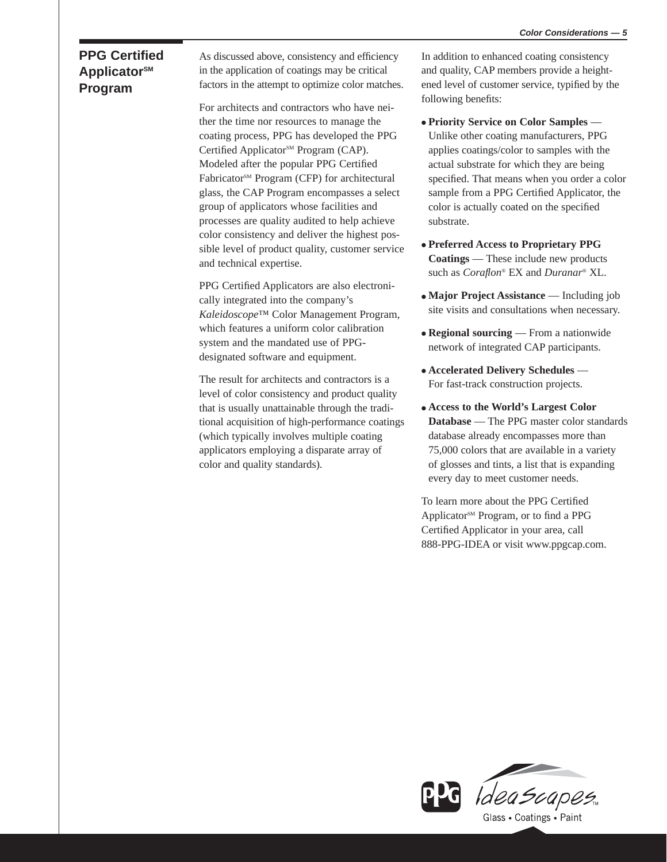#### **PPG Certified Applicator**<sup>SM</sup> **Program**

As discussed above, consistency and efficiency in the application of coatings may be critical factors in the attempt to optimize color matches.

For architects and contractors who have neither the time nor resources to manage the coating process, PPG has developed the PPG Certified Applicator<sup>SM</sup> Program (CAP). Modeled after the popular PPG Certified Fabricator<sup>SM</sup> Program (CFP) for architectural glass, the CAP Program encompasses a select group of applicators whose facilities and processes are quality audited to help achieve color consistency and deliver the highest possible level of product quality, customer service and technical expertise.

PPG Certified Applicators are also electronically integrated into the company's *Kaleidoscope*™ Color Management Program, which features a uniform color calibration system and the mandated use of PPGdesignated software and equipment.

The result for architects and contractors is a level of color consistency and product quality that is usually unattainable through the traditional acquisition of high-performance coatings (which typically involves multiple coating applicators employing a disparate array of color and quality standards).

In addition to enhanced coating consistency and quality, CAP members provide a heightened level of customer service, typified by the following benefits:

● **Priority Service on Color Samples** — Unlike other coating manufacturers, PPG applies coatings/color to samples with the actual substrate for which they are being specified. That means when you order a color sample from a PPG Certified Applicator, the color is actually coated on the specified substrate.

- **Preferred Access to Proprietary PPG Coatings** — These include new products such as *Coraflon*® EX and *Duranar*® XL.
- **Major Project Assistance** Including job site visits and consultations when necessary.
- **Regional sourcing** From a nationwide network of integrated CAP participants.
- **Accelerated Delivery Schedules** For fast-track construction projects.
- **Access to the World's Largest Color Database** — The PPG master color standards database already encompasses more than 75,000 colors that are available in a variety of glosses and tints, a list that is expanding every day to meet customer needs.

To learn more about the PPG Certified Applicator<sup>SM</sup> Program, or to find a PPG Certified Applicator in your area, call 888-PPG-IDEA or visit www.ppgcap.com.

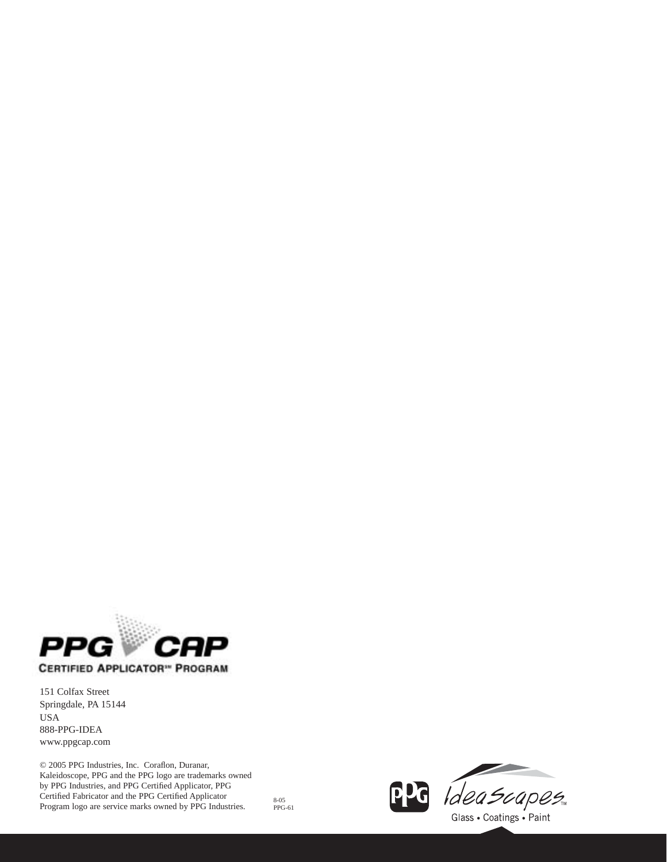

151 Colfax Street Springdale, PA 15144 USA 888-PPG-IDEA www.ppgcap.com

© 2005 PPG Industries, Inc. Coraflon, Duranar, Kaleidoscope, PPG and the PPG logo are trademarks owned by PPG Industries, and PPG Certified Applicator, PPG Certified Fabricator and the PPG Certified Applicator Program logo are service marks owned by PPG Industries.

8-05 PPG-61

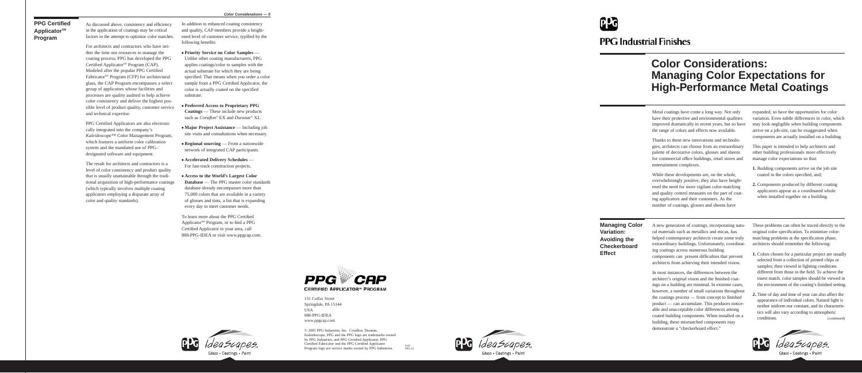As discussed above, consistency and efficiency in the application of coatings may be critical factors in the attempt to optimize color matches.

For architects and contractors who have neither the time nor resources to manage the coating process, PPG has developed the PPG Certified Applicator<sup>SM</sup> Program (CAP). Modeled after the popular PPG Certified Fabricator<sup>SM</sup> Program (CFP) for architectural glass, the CAP Program encompasses a select group of applicators whose facilities and processes are quality audited to help achieve color consistency and deliver the highest possible level of product quality, customer service and technical expertise.

PPG Certified Applicators are also electronically integrated into the company's *Kaleidoscope* ™ Color Management Program, which features a uniform color calibration system and the mandated use of PPGdesignated software and equipment.

The result for architects and contractors is a level of color consistency and product quality that is usually unattainable through the traditional acquisition of high-performance coatings (which typically involves multiple coating applicators employing a disparate array of color and quality standards).

In addition to enhanced coating consistency and quality, CAP members provide a heightened level of customer service, typified by the following benefits:

- **Priority Service on Color Samples** Unlike other coating manufacturers, PPG applies coatings/color to samples with the actual substrate for which they are being specified. That means when you order a color sample from a PPG Certified Applicator, the color is actually coated on the specified substrate.
- **Preferred Access to Proprietary PPG Coatings** — These include new products such as *Coraflon* ® EX and *Duranar*® XL.
- **Major Project Assistance** Including job site visits and consultations when necessary.
- **Regional sourcing** From a nationwide network of integrated CAP participants.
- **Accelerated Delivery Schedules** For fast-track construction projects.
- **Access to the World's Largest Color Database** — The PPG master color standards database already encompasses more than 75,000 colors that are available in a variety of glosses and tints, a list that is expanding every day to meet customer needs.

To learn more about the PPG Certified Applicator<sup>SM</sup> Program, or to find a PPG Certified Applicator in your area, call 888-PPG-IDEA or visit www.ppgcap.com.



**PPG Certified Applicator**<sup>SM</sup> **Program**

> 151 Colfax Street Springdale, PA 15144 USA 888-PPG-IDEA www.ppgcap.com

# **FLA**

## **PPG Industrial Finishes**

**Managing Color Variation: Avoiding the Checkerboard Effect**

Metal coatings have come a long way. Not only have their protective and environmental qualities improved dramatically in recent years, but so have the range of colors and effects now available.

Thanks to these new innovations and technologies, architects can choose from an extraordinary palette of decorative colors, glosses and sheens for commercial office buildings, retail stores and entertainment complexes.

While these developments are, on the whole, overwhelmingly positive, they also have heightened the need for more vigilant color-matching and quality control measures on the part of coating applicators and their customers. As the number of coatings, glosses and sheens have

expanded, so have the opportunities for color variation. Even subtle differences in color, which may look negligible when building components arrive on a job-site, can be exaggerated when components are actually installed on a building.

This paper is intended to help architects and other building professionals more effectively manage color expectations so that:

- **1.** Building components arrive on the job site coated in the colors specified, and;
- **2.** Components produced by different coating applicators appear as a coordinated whole when installed together on a building.

A new generation of coatings, incorporating natural materials such as metallics and micas, has helped contemporary architects create some truly extraordinary buildings. Unfortunately, coordinating coatings across numerous building components can present difficulties that prevent architects from achieving their intended vision.

In most instances, the differences between the architect's original vision and the finished coatings on a building are minimal. In extreme cases, however, a number of small variations throughout the coatings process — from concept to finished product — can accumulate. This produces noticeable and unacceptable color differences among coated building components. When installed on a building, these mismatched components may demonstrate a "checkerboard effect."

These problems can often be traced directly to the original color specification. To minimize colormatching problems at the specification phase, architects should remember the following:

- **1.** Colors chosen for a particular project are usually selected from a collection of printed chips or samples; then viewed in lighting conditions different from those in the field. To achieve the truest match, color samples should be viewed in the environment of the coating's finished setting.
- **2.** Time of day and time of year can also affect the appearance of individual colors. Natural light is neither uniform nor constant, and its characteristics will also vary according to atmospheric conditions. (continued)





## **Color Considerations: Managing Color Expectations for High-Performance Metal Coatings**

© 2005 PPG Industries, Inc. Coraflon, Duranar, Kaleidoscope, PPG and the PPG logo are trademarks owned by PPG Industries, and PPG Certified Applicator, PPG Certified Fabricator and the PPG Certified Applicator Program logo are service marks owned by PPG Industries.